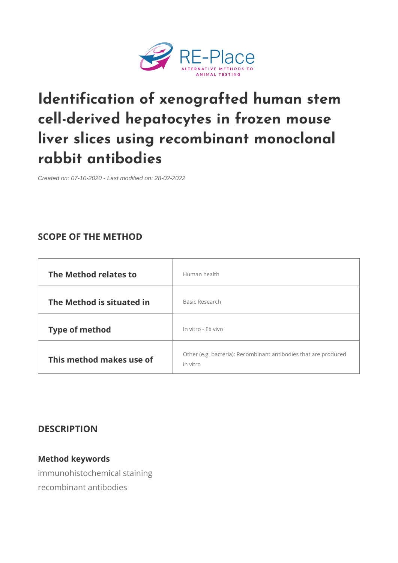[Identification of xenografted](https://re-place.be/method/identification-xenografted-human-stem-cell-derived-hepatocytes-frozen-mouse-liver-slices) hum cell-derived hepatocytes in frozen liver slices using recombinant mo rabbit antibodies

Created on: 07-10-2020 - Last modified on: 28-02-2022

# SCOPE OF THE METHOD

| The Method relates to                 | Human health                                                                                       |  |
|---------------------------------------|----------------------------------------------------------------------------------------------------|--|
| The Method is situated Basic Research |                                                                                                    |  |
| Type of method                        | In vitro - Ex vivo                                                                                 |  |
|                                       | This method makes $u \stackrel{\text{Other (e.g. bacteria): Recombinant antibodie}}{0 \text{ f.}}$ |  |

### DESCRIPTION

Method keywords immunohistochemical staining recombinant antibodies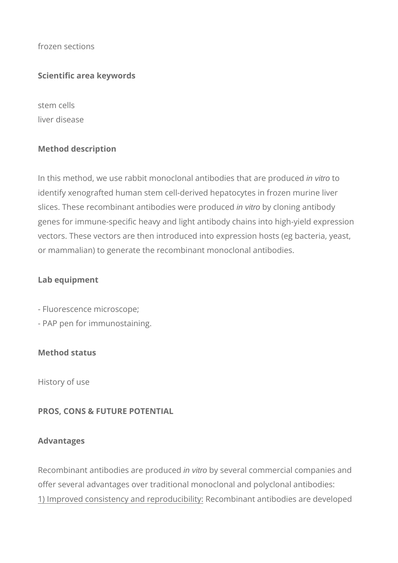frozen sections

### **Scientific area keywords**

stem cells liver disease

# **Method description**

In this method, we use rabbit monoclonal antibodies that are produced in vitro to identify xenografted human stem cell-derived hepatocytes in frozen murine liver slices. These recombinant antibodies were produced in vitro by cloning antibody genes for immune-specific heavy and light antibody chains into high-yield expression vectors. These vectors are then introduced into expression hosts (eg bacteria, yeast, or mammalian) to generate the recombinant monoclonal antibodies.

#### **Lab equipment**

- Fluorescence microscope;
- PAP pen for immunostaining.

#### **Method status**

History of use

#### **PROS, CONS & FUTURE POTENTIAL**

#### **Advantages**

Recombinant antibodies are produced in vitro by several commercial companies and offer several advantages over traditional monoclonal and polyclonal antibodies: 1) Improved consistency and reproducibility: Recombinant antibodies are developed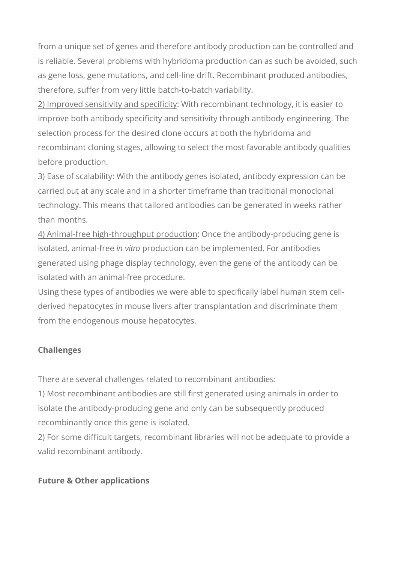from a unique set of genes and therefore antibody production can be controlled and is reliable. Several problems with hybridoma production can as such be avoided, such as gene loss, gene mutations, and cell-line drift. Recombinant produced antibodies, therefore, suffer from very little batch-to-batch variability.

2) Improved sensitivity and specificity: With recombinant technology, it is easier to improve both antibody specificity and sensitivity through antibody engineering. The selection process for the desired clone occurs at both the hybridoma and recombinant cloning stages, allowing to select the most favorable antibody qualities before production.

3) Ease of scalability: With the antibody genes isolated, antibody expression can be carried out at any scale and in a shorter timeframe than traditional monoclonal technology. This means that tailored antibodies can be generated in weeks rather than months.

4) Animal-free high-throughput production: Once the antibody-producing gene is isolated, animal-free in vitro production can be implemented. For antibodies generated using phage display technology, even the gene of the antibody can be isolated with an animal-free procedure.

Using these types of antibodies we were able to specifically label human stem cellderived hepatocytes in mouse livers after transplantation and discriminate them from the endogenous mouse hepatocytes.

# **Challenges**

There are several challenges related to recombinant antibodies:

1) Most recombinant antibodies are still first generated using animals in order to isolate the antibody-producing gene and only can be subsequently produced recombinantly once this gene is isolated.

2) For some difficult targets, recombinant libraries will not be adequate to provide a valid recombinant antibody.

# **Future & Other applications**